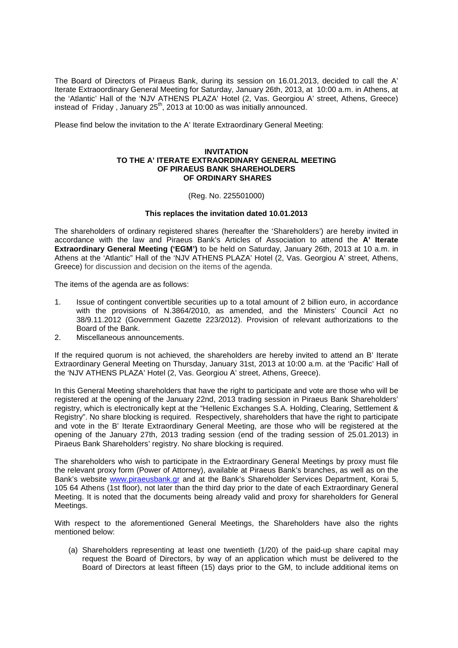The Board of Directors of Piraeus Bank, during its session on 16.01.2013, decided to call the A' Iterate Extraoordinary General Meeting for Saturday, January 26th, 2013, at 10:00 a.m. in Athens, at the 'Atlantic' Hall of the 'ΝJV ATHENS PLAZA' Hotel (2, Vas. Georgiou Α' street, Athens, Greece) instead of Friday, January  $25<sup>th</sup>$ , 2013 at 10:00 as was initially announced.

Please find below the invitation to the A' Iterate Extraordinary General Meeting:

## **INVITATION TO THE A' ITERATE EXTRAORDINARY GENERAL MEETING OF PIRAEUS BANK SHAREHOLDERS OF ORDINARY SHARES**

## (Reg. No. 225501000)

## **This replaces the invitation dated 10.01.2013**

The shareholders of ordinary registered shares (hereafter the 'Shareholders') are hereby invited in accordance with the law and Piraeus Bank's Articles of Association to attend the **A' Iterate Extraordinary General Meeting ('EGM')** to be held on Saturday, January 26th, 2013 at 10 a.m. in Athens at the 'Atlantic" Hall of the 'NJV ATHENS PLAZA' Hotel (2, Vas. Georgiou Α' street, Athens, Greece) for discussion and decision on the items of the agenda.

The items of the agenda are as follows:

- 1. Issue of contingent convertible securities up to a total amount of 2 billion euro, in accordance with the provisions of N.3864/2010, as amended, and the Ministers' Council Act no 38/9.11.2012 (Government Gazette 223/2012). Provision of relevant authorizations to the Board of the Bank.
- 2. Miscellaneous announcements.

If the required quorum is not achieved, the shareholders are hereby invited to attend an B' Iterate Extraordinary General Meeting on Thursday, January 31st, 2013 at 10:00 a.m. at the 'Pacific' Hall of the 'NJV ATHENS PLAZA' Hotel (2, Vas. Georgiou Α' street, Athens, Greece).

In this General Meeting shareholders that have the right to participate and vote are those who will be registered at the opening of the January 22nd, 2013 trading session in Piraeus Bank Shareholders' registry, which is electronically kept at the "Hellenic Exchanges S.A. Holding, Clearing, Settlement & Registry". No share blocking is required. Respectively, shareholders that have the right to participate and vote in the B' Iterate Extraordinary General Meeting, are those who will be registered at the opening of the January 27th, 2013 trading session (end of the trading session of 25.01.2013) in Piraeus Bank Shareholders' registry. No share blocking is required.

The shareholders who wish to participate in the Extraordinary General Meetings by proxy must file the relevant proxy form (Power of Attorney), available at Piraeus Bank's branches, as well as on the Bank's website www.piraeusbank.gr and at the Bank's Shareholder Services Department, Korai 5, 105 64 Athens (1st floor), not later than the third day prior to the date of each Extraordinary General Meeting. It is noted that the documents being already valid and proxy for shareholders for General Meetings.

With respect to the aforementioned General Meetings, the Shareholders have also the rights mentioned below:

(a) Shareholders representing at least one twentieth (1/20) of the paid-up share capital may request the Board of Directors, by way of an application which must be delivered to the Board of Directors at least fifteen (15) days prior to the GM, to include additional items on